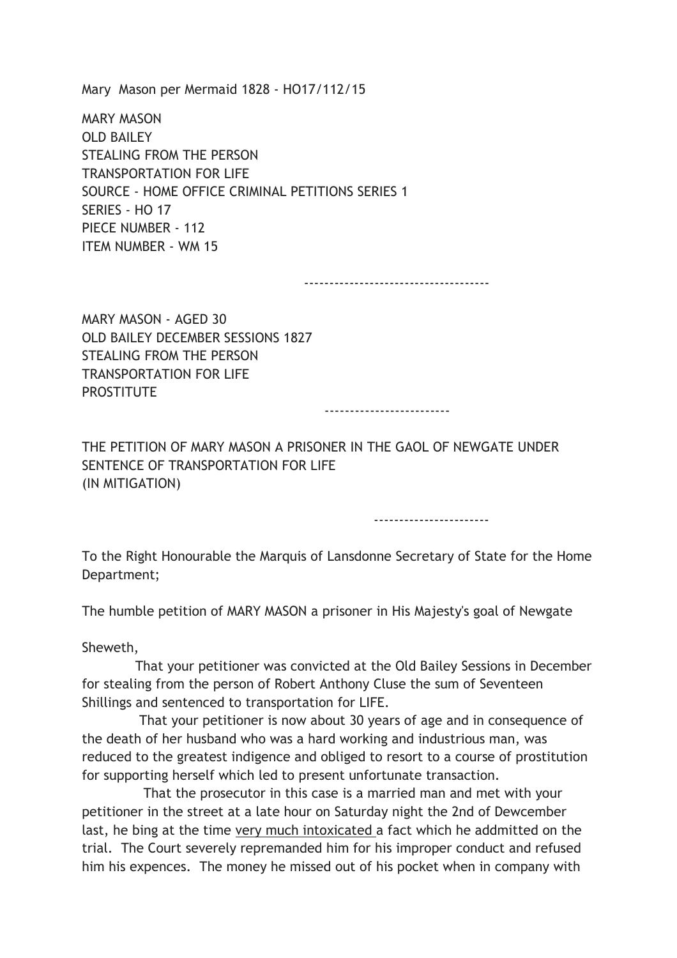Mary Mason per Mermaid 1828 - HO17/112/15

MARY MASON OLD BAILEY STEALING FROM THE PERSON TRANSPORTATION FOR LIFE SOURCE - HOME OFFICE CRIMINAL PETITIONS SERIES 1 SERIES - HO 17 PIECE NUMBER - 112 ITEM NUMBER - WM 15

-------------------------------------

MARY MASON - AGED 30 OLD BAILEY DECEMBER SESSIONS 1827 STEALING FROM THE PERSON TRANSPORTATION FOR LIFE **PROSTITUTE** 

-------------------------

THE PETITION OF MARY MASON A PRISONER IN THE GAOL OF NEWGATE UNDER SENTENCE OF TRANSPORTATION FOR LIFE (IN MITIGATION)

-----------------------

To the Right Honourable the Marquis of Lansdonne Secretary of State for the Home Department;

The humble petition of MARY MASON a prisoner in His Majesty's goal of Newgate

Sheweth,

 That your petitioner was convicted at the Old Bailey Sessions in December for stealing from the person of Robert Anthony Cluse the sum of Seventeen Shillings and sentenced to transportation for LIFE.

 That your petitioner is now about 30 years of age and in consequence of the death of her husband who was a hard working and industrious man, was reduced to the greatest indigence and obliged to resort to a course of prostitution for supporting herself which led to present unfortunate transaction.

 That the prosecutor in this case is a married man and met with your petitioner in the street at a late hour on Saturday night the 2nd of Dewcember last, he bing at the time very much intoxicated a fact which he addmitted on the trial. The Court severely repremanded him for his improper conduct and refused him his expences. The money he missed out of his pocket when in company with